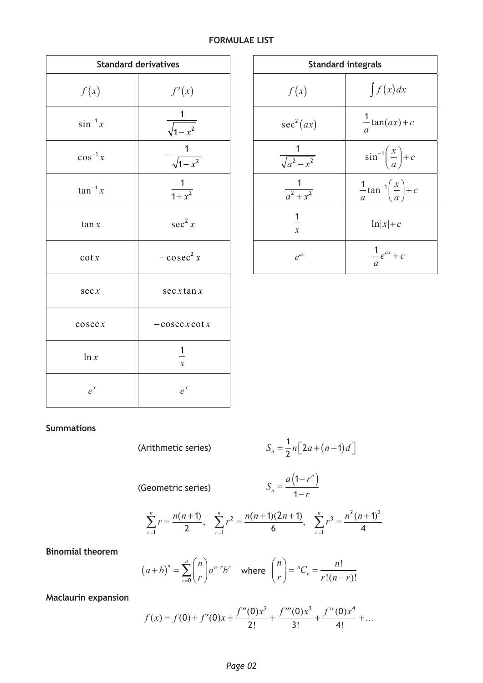## **FORMULAE LIST**

| <b>Standard derivatives</b> |                                             | <b>Standard integrals</b> |                                       |  |
|-----------------------------|---------------------------------------------|---------------------------|---------------------------------------|--|
| f(x)                        | f'(x)                                       | f(x)                      | $\int f$                              |  |
| $\sin^{-1} x$               | $\overline{1}$<br>$\sqrt{1-x^2}$            | sec <sup>2</sup> (ax)     | $\frac{1}{2}$ tai<br>$\boldsymbol{a}$ |  |
| $\cos^{-1} x$               | $\frac{1}{\sqrt{1-x^2}}$                    | $\sqrt{a^2-x^2}$          | $sin^{-}$                             |  |
| $\tan^{-1} x$               | $\frac{1}{1+x^2}$                           | $\overline{a^2+x^2}$      | $\frac{1}{2}$ tan<br>$\mathfrak a$    |  |
| $\tan x$                    | $\sec^2 x$                                  | 1<br>$\mathcal{X}$        | $\ln$                                 |  |
| $\cot x$                    | $-\cos ec^2 x$                              | $e^{ax}$                  | $\frac{1}{a}$                         |  |
| sec x                       | sec x tan x                                 |                           |                                       |  |
| $\csc x$                    | $-cosecxcot x$                              |                           |                                       |  |
| $\ln x$                     | $\frac{1}{1}$<br>$\boldsymbol{\mathcal{X}}$ |                           |                                       |  |
| $e^{x}$                     | $e^{x}$                                     |                           |                                       |  |

| <b>Standard derivatives</b> |                    | <b>Standard integrals</b> |                                                                     |  |
|-----------------------------|--------------------|---------------------------|---------------------------------------------------------------------|--|
| f(x)                        | f'(x)              | f(x)                      | $\int f(x)dx$                                                       |  |
| $\sin^{-1} x$               | $\sqrt{1-x^2}$     | sec <sup>2</sup> (ax)     | $\frac{1}{2}$ tan( <i>ax</i> ) + <i>c</i>                           |  |
| $\cos^{-1} x$               | $\sqrt{1-x^2}$     | $\sqrt{a^2-x^2}$          | $\sin^{-1}\left(\frac{x}{a}\right) + c$                             |  |
| $an^{-1}x$                  | $\frac{1}{1+x^2}$  | $\frac{1}{a^2 + x^2}$     | $rac{1}{a}$ tan <sup>-1</sup> $\left(\frac{x}{a}\right)$ + <i>c</i> |  |
| $\tan x$                    | sec <sup>2</sup> x | $\mathcal{X}$             | $\ln  x  + c$                                                       |  |
| $\cot x$                    | $-\cos ec^2 x$     | $e^{ax}$                  | $\frac{1}{a}e^{ax}+c$                                               |  |

## **Summations**

(Arithmetic series)  
\n
$$
S_n = \frac{1}{2}n[2a + (n-1)d]
$$
\n(Geometric series)  
\n
$$
S_n = \frac{a(1 - r^n)}{1 - r}
$$
\n
$$
\sum_{r=1}^n r = \frac{n(n+1)}{2}, \quad \sum_{r=1}^n r^2 = \frac{n(n+1)(2n+1)}{6}, \quad \sum_{r=1}^n r^3 = \frac{n^2(n+1)^2}{4}
$$

**Binomial theorem**

$$
(a+b)^n = \sum_{r=0}^n {n \choose r} a^{n-r} b^r \quad \text{where } {n \choose r} = {}^nC_r = \frac{n!}{r!(n-r)!}
$$

**Maclaurin expansion**

$$
f(x) = f(0) + f'(0)x + \frac{f''(0)x^2}{2!} + \frac{f'''(0)x^3}{3!} + \frac{f^{iv}(0)x^4}{4!} + \dots
$$